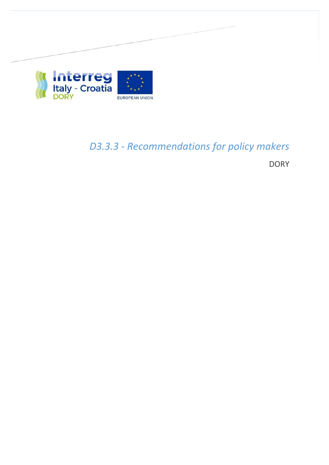

# *D3.3.3 ‐ Recommendations for policy makers*

**DORY**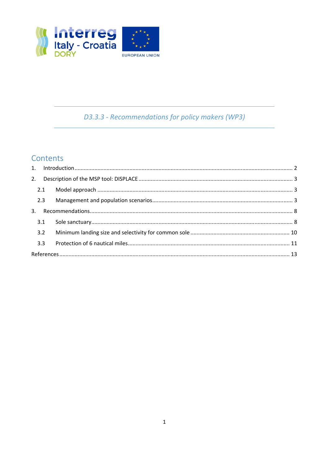

# D3.3.3 - Recommendations for policy makers (WP3)

## Contents

| 2.3 |  |  |  |
|-----|--|--|--|
|     |  |  |  |
| 3.1 |  |  |  |
| 3.2 |  |  |  |
| 3.3 |  |  |  |
|     |  |  |  |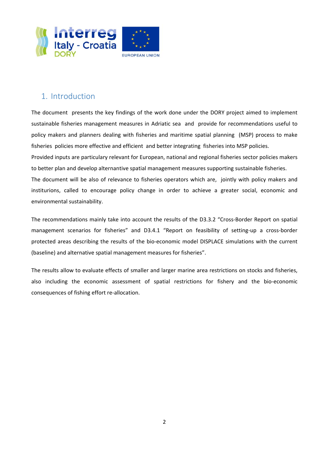

## 1. Introduction

The document presents the key findings of the work done under the DORY project aimed to implement sustainable fisheries management measures in Adriatic sea and provide for recommendations useful to policy makers and planners dealing with fisheries and maritime spatial planning (MSP) process to make fisheries policies more effective and efficient and better integrating fisheries into MSP policies.

Provided inputs are particulary relevant for European, national and regional fisheries sector policies makers to better plan and develop alternantive spatial management measures supporting sustainable fisheries.

The document will be also of relevance to fisheries operators which are, jointly with policy makers and institurions, called to encourage policy change in order to achieve a greater social, economic and environmental sustainability.

The recommendations mainly take into account the results of the D3.3.2 "Cross-Border Report on spatial management scenarios for fisheries" and D3.4.1 "Report on feasibility of setting-up a cross-border protected areas describing the results of the bio‐economic model DISPLACE simulations with the current (baseline) and alternative spatial management measures for fisheries".

The results allow to evaluate effects of smaller and larger marine area restrictions on stocks and fisheries, also including the economic assessment of spatial restrictions for fishery and the bio‐economic consequences of fishing effort re‐allocation.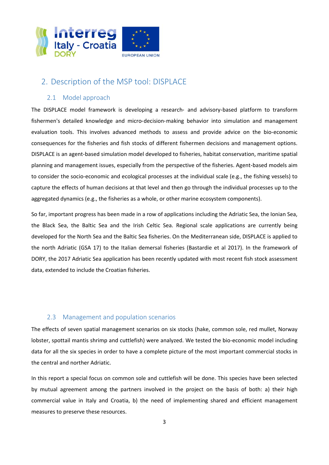

## 2. Description of the MSP tool: DISPLACE

#### 2.1 Model approach

The DISPLACE model framework is developing a research- and advisory-based platform to transform fishermen's detailed knowledge and micro-decision-making behavior into simulation and management evaluation tools. This involves advanced methods to assess and provide advice on the bio-economic consequences for the fisheries and fish stocks of different fishermen decisions and management options. DISPLACE is an agent-based simulation model developed to fisheries, habitat conservation, maritime spatial planning and management issues, especially from the perspective of the fisheries. Agent-based models aim to consider the socio‐economic and ecological processes at the individual scale (e.g., the fishing vessels) to capture the effects of human decisions at that level and then go through the individual processes up to the aggregated dynamics (e.g., the fisheries as a whole, or other marine ecosystem components).

So far, important progress has been made in a row of applications including the Adriatic Sea, the Ionian Sea, the Black Sea, the Baltic Sea and the Irish Celtic Sea. Regional scale applications are currently being developed for the North Sea and the Baltic Sea fisheries. On the Mediterranean side, DISPLACE is applied to the north Adriatic (GSA 17) to the Italian demersal fisheries (Bastardie et al 2017). In the framework of DORY, the 2017 Adriatic Sea application has been recently updated with most recent fish stock assessment data, extended to include the Croatian fisheries.

### 2.3 Management and population scenarios

The effects of seven spatial management scenarios on six stocks (hake, common sole, red mullet, Norway lobster, spottail mantis shrimp and cuttlefish) were analyzed. We tested the bio-economic model including data for all the six species in order to have a complete picture of the most important commercial stocks in the central and norther Adriatic.

In this report a special focus on common sole and cuttlefish will be done. This species have been selected by mutual agreement among the partners involved in the project on the basis of both: a) their high commercial value in Italy and Croatia, b) the need of implementing shared and efficient management measures to preserve these resources.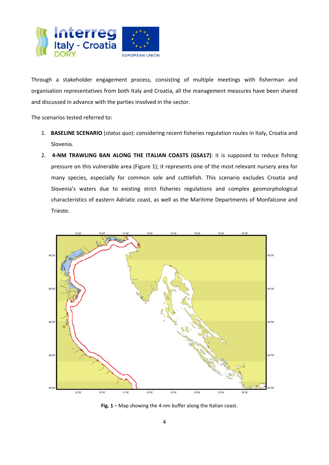

Through a stakeholder engagement process, consisting of multiple meetings with fisherman and organisation representatives from both Italy and Croatia, all the management measures have been shared and discussed in advance with the parties involved in the sector.

The scenarios tested referred to:

- 1. **BASELINE SCENARIO** (*status quo*): considering recent fisheries regulation roules in Italy, Croatia and Slovenia.
- 2. **4-NM TRAWLING BAN ALONG THE ITALIAN COASTS (GSA17)**: it is supposed to reduce fishing pressure on this vulnerable area (Figure 1); it represents one of the most relevant nursery area for many species, especially for common sole and cuttlefish. This scenario excludes Croatia and Slovenia's waters due to existing strict fisheries regulations and complex geomorphological characteristics of eastern Adriatic coast, as well as the Maritime Departments of Monfalcone and Trieste.



**Fig. 1** – Map showing the 4‐nm buffer along the Italian coast.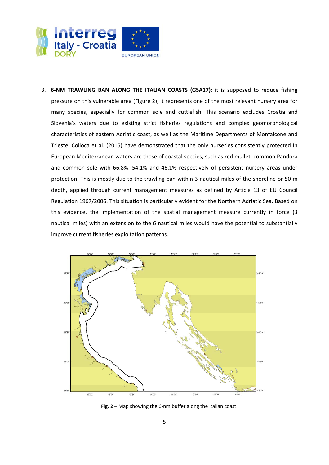

3. **6‐NM TRAWLING BAN ALONG THE ITALIAN COASTS (GSA17)**: it is supposed to reduce fishing pressure on this vulnerable area (Figure 2); it represents one of the most relevant nursery area for many species, especially for common sole and cuttlefish. This scenario excludes Croatia and Slovenia's waters due to existing strict fisheries regulations and complex geomorphological characteristics of eastern Adriatic coast, as well as the Maritime Departments of Monfalcone and Trieste. Colloca et al. (2015) have demonstrated that the only nurseries consistently protected in European Mediterranean waters are those of coastal species, such as red mullet, common Pandora and common sole with 66.8%, 54.1% and 46.1% respectively of persistent nursery areas under protection. This is mostly due to the trawling ban within 3 nautical miles of the shoreline or 50 m depth, applied through current management measures as defined by Article 13 of EU Council Regulation 1967/2006. This situation is particularly evident for the Northern Adriatic Sea. Based on this evidence, the implementation of the spatial management measure currently in force (3 nautical miles) with an extension to the 6 nautical miles would have the potential to substantially improve current fisheries exploitation patterns.



**Fig. 2** – Map showing the 6‐nm buffer along the Italian coast.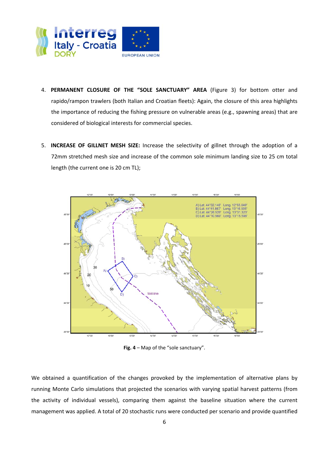

- 4. **PERMANENT CLOSURE OF THE "SOLE SANCTUARY" AREA** (Figure 3) for bottom otter and rapido/rampon trawlers (both Italian and Croatian fleets): Again, the closure of this area highlights the importance of reducing the fishing pressure on vulnerable areas (e.g., spawning areas) that are considered of biological interests for commercial species.
- 5. **INCREASE OF GILLNET MESH SIZE:** Increase the selectivity of gillnet through the adoption of a 72mm stretched mesh size and increase of the common sole minimum landing size to 25 cm total length (the current one is 20 cm TL);



**Fig. 4** – Map of the "sole sanctuary".

We obtained a quantification of the changes provoked by the implementation of alternative plans by running Monte Carlo simulations that projected the scenarios with varying spatial harvest patterns (from the activity of individual vessels), comparing them against the baseline situation where the current management was applied. A total of 20 stochastic runs were conducted per scenario and provide quantified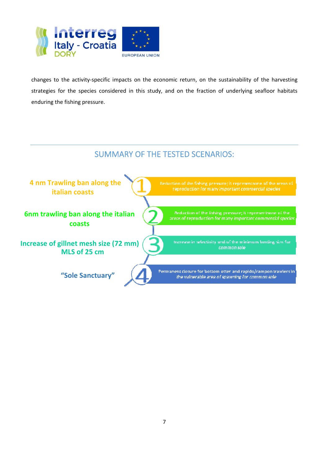

changes to the activity‐specific impacts on the economic return, on the sustainability of the harvesting strategies for the species considered in this study, and on the fraction of underlying seafloor habitats enduring the fishing pressure.

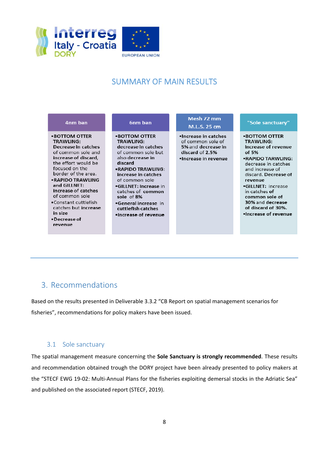

## SUMMARY OF MAIN RESULTS



## 3. Recommendations

Based on the results presented in Deliverable 3.3.2 "CB Report on spatial management scenarios for fisheries", recommendations for policy makers have been issued.

### 3.1 Sole sanctuary

The spatial management measure concerning the **Sole Sanctuary is strongly recommended**. These results and recommendation obtained trough the DORY project have been already presented to policy makers at the "STECF EWG 19-02: Multi-Annual Plans for the fisheries exploiting demersal stocks in the Adriatic Sea" and published on the associated report (STECF, 2019).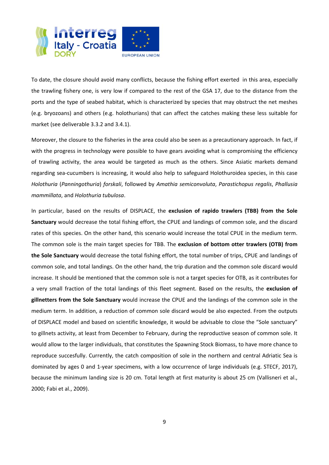

To date, the closure should avoid many conflicts, because the fishing effort exerted in this area, especially the trawling fishery one, is very low if compared to the rest of the GSA 17, due to the distance from the ports and the type of seabed habitat, which is characterized by species that may obstruct the net meshes (e.g. bryozoans) and others (e.g. holothurians) that can affect the catches making these less suitable for market (see deliverable 3.3.2 and 3.4.1).

Moreover, the closure to the fisheries in the area could also be seen as a precautionary approach. In fact, if with the progress in technology were possible to have gears avoiding what is compromising the efficiency of trawling activity, the area would be targeted as much as the others. Since Asiatic markets demand regarding sea‐cucumbers is increasing, it would also help to safeguard Holothuroidea species, in this case *Holothuria* (*Panningothuria*) *forskali*, followed by *Amathia semiconvoluta*, *Parastichopus regalis*, *Phallusia mammillata*, and *Holothuria tubulosa*.

In particular, based on the results of DISPLACE, the **exclusion of rapido trawlers (TBB) from the Sole Sanctuary** would decrease the total fishing effort, the CPUE and landings of common sole, and the discard rates of this species. On the other hand, this scenario would increase the total CPUE in the medium term. The common sole is the main target species for TBB. The **exclusion of bottom otter trawlers (OTB) from the Sole Sanctuary** would decrease the total fishing effort, the total number of trips, CPUE and landings of common sole, and total landings. On the other hand, the trip duration and the common sole discard would increase. It should be mentioned that the common sole is not a target species for OTB, as it contributes for a very small fraction of the total landings of this fleet segment. Based on the results, the **exclusion of gillnetters from the Sole Sanctuary** would increase the CPUE and the landings of the common sole in the medium term. In addition, a reduction of common sole discard would be also expected. From the outputs of DISPLACE model and based on scientific knowledge, it would be advisable to close the "Sole sanctuary" to gillnets activity, at least from December to February, during the reproductive season of common sole. It would allow to the larger individuals, that constitutes the Spawning Stock Biomass, to have more chance to reproduce succesfully. Currently, the catch composition of sole in the northern and central Adriatic Sea is dominated by ages 0 and 1‐year specimens, with a low occurrence of large individuals (e.g. STECF, 2017), because the minimum landing size is 20 cm. Total length at first maturity is about 25 cm (Vallisneri et al., 2000; Fabi et al., 2009).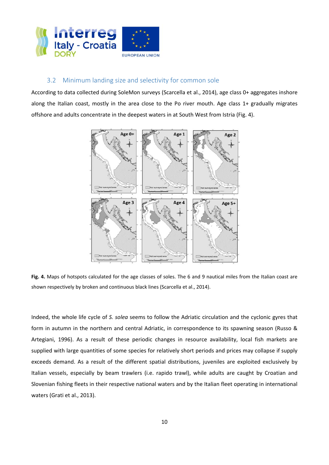

#### 3.2 Minimum landing size and selectivity for common sole

According to data collected during SoleMon surveys (Scarcella et al., 2014), age class 0+ aggregates inshore along the Italian coast, mostly in the area close to the Po river mouth. Age class 1+ gradually migrates offshore and adults concentrate in the deepest waters in at South West from Istria (Fig. 4).



**Fig. 4.** Maps of hotspots calculated for the age classes of soles. The 6 and 9 nautical miles from the Italian coast are shown respectively by broken and continuous black lines (Scarcella et al., 2014).

Indeed, the whole life cycle of *S. solea* seems to follow the Adriatic circulation and the cyclonic gyres that form in autumn in the northern and central Adriatic, in correspondence to its spawning season (Russo & Artegiani, 1996). As a result of these periodic changes in resource availability, local fish markets are supplied with large quantities of some species for relatively short periods and prices may collapse if supply exceeds demand. As a result of the different spatial distributions, juveniles are exploited exclusively by Italian vessels, especially by beam trawlers (i.e. rapido trawl), while adults are caught by Croatian and Slovenian fishing fleets in their respective national waters and by the Italian fleet operating in international waters (Grati et al., 2013).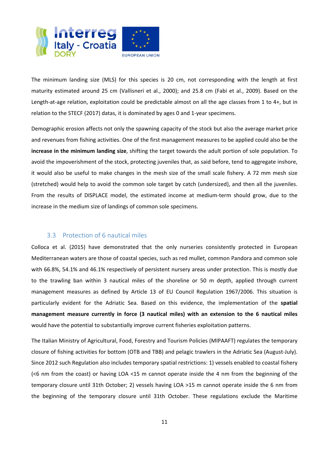

The minimum landing size (MLS) for this species is 20 cm, not corresponding with the length at first maturity estimated around 25 cm (Vallisneri et al., 2000); and 25.8 cm (Fabi et al., 2009). Based on the Length-at-age relation, exploitation could be predictable almost on all the age classes from 1 to 4+, but in relation to the STECF (2017) datas, it is dominated by ages 0 and 1‐year specimens.

Demographic erosion affects not only the spawning capacity of the stock but also the average market price and revenues from fishing activities. One of the first management measures to be applied could also be the **increase in the minimum landing size**, shifting the target towards the adult portion of sole population. To avoid the impoverishment of the stock, protecting juveniles that, as said before, tend to aggregate inshore, it would also be useful to make changes in the mesh size of the small scale fishery. A 72 mm mesh size (stretched) would help to avoid the common sole target by catch (undersized), and then all the juveniles. From the results of DISPLACE model, the estimated income at medium-term should grow, due to the increase in the medium size of landings of common sole specimens.

#### 3.3 Protection of 6 nautical miles

Colloca et al. (2015) have demonstrated that the only nurseries consistently protected in European Mediterranean waters are those of coastal species, such as red mullet, common Pandora and common sole with 66.8%, 54.1% and 46.1% respectively of persistent nursery areas under protection. This is mostly due to the trawling ban within 3 nautical miles of the shoreline or 50 m depth, applied through current management measures as defined by Article 13 of EU Council Regulation 1967/2006. This situation is particularly evident for the Adriatic Sea. Based on this evidence, the implementation of the **spatial management measure currently in force (3 nautical miles) with an extension to the 6 nautical miles** would have the potential to substantially improve current fisheries exploitation patterns.

The Italian Ministry of Agricultural, Food, Forestry and Tourism Policies (MIPAAFT) regulates the temporary closure of fishing activities for bottom (OTB and TBB) and pelagic trawlers in the Adriatic Sea (August‐July). Since 2012 such Regulation also includes temporary spatial restrictions: 1) vessels enabled to coastal fishery (<6 nm from the coast) or having  $LOA < 15$  m cannot operate inside the 4 nm from the beginning of the temporary closure until 31th October; 2) vessels having LOA >15 m cannot operate inside the 6 nm from the beginning of the temporary closure until 31th October. These regulations exclude the Maritime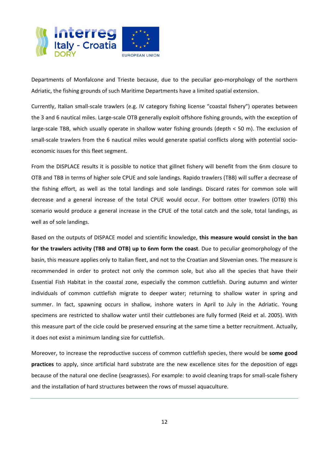

Departments of Monfalcone and Trieste because, due to the peculiar geo-morphology of the northern Adriatic, the fishing grounds of such Maritime Departments have a limited spatial extension.

Currently, Italian small‐scale trawlers (e.g. IV category fishing license "coastal fishery") operates between the 3 and 6 nautical miles. Large-scale OTB generally exploit offshore fishing grounds, with the exception of large-scale TBB, which usually operate in shallow water fishing grounds (depth < 50 m). The exclusion of small-scale trawlers from the 6 nautical miles would generate spatial conflicts along with potential socioeconomic issues for this fleet segment.

From the DISPLACE results it is possible to notice that gillnet fishery will benefit from the 6nm closure to OTB and TBB in terms of higher sole CPUE and sole landings. Rapido trawlers (TBB) will suffer a decrease of the fishing effort, as well as the total landings and sole landings. Discard rates for common sole will decrease and a general increase of the total CPUE would occur. For bottom otter trawlers (OTB) this scenario would produce a general increase in the CPUE of the total catch and the sole, total landings, as well as of sole landings.

Based on the outputs of DISPACE model and scientific knowledge, **this measure would consist in the ban for the trawlers activity (TBB and OTB) up to 6nm form the coast**. Due to peculiar geomorphology of the basin, this measure applies only to Italian fleet, and not to the Croatian and Slovenian ones. The measure is recommended in order to protect not only the common sole, but also all the species that have their Essential Fish Habitat in the coastal zone, especially the common cuttlefish. During autumn and winter individuals of common cuttlefish migrate to deeper water; returning to shallow water in spring and summer. In fact, spawning occurs in shallow, inshore waters in April to July in the Adriatic. Young specimens are restricted to shallow water until their cuttlebones are fully formed (Reid et al. 2005). With this measure part of the cicle could be preserved ensuring at the same time a better recruitment. Actually, it does not exist a minimum landing size for cuttlefish.

Moreover, to increase the reproductive success of common cuttlefish species, there would be **some good practices** to apply, since artificial hard substrate are the new excellence sites for the deposition of eggs because of the natural one decline (seagrasses). For example: to avoid cleaning traps for small‐scale fishery and the installation of hard structures between the rows of mussel aquaculture.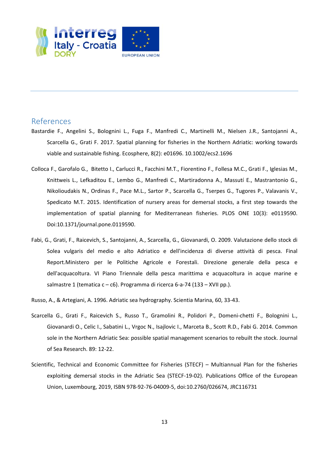

## References

- Bastardie F., Angelini S., Bolognini L., Fuga F., Manfredi C., Martinelli M., Nielsen J.R., Santojanni A., Scarcella G., Grati F. 2017. Spatial planning for fisheries in the Northern Adriatic: working towards viable and sustainable fishing. Ecosphere, 8(2): e01696. 10.1002/ecs2.1696
- Colloca F., Garofalo G., Bitetto I., Carlucci R., Facchini M.T., Fiorentino F., Follesa M.C., Grati F., Iglesias M., Knittweis L., Lefkaditou E., Lembo G., Manfredi C., Martiradonna A., Massutí E., Mastrantonio G., Nikolioudakis N., Ordinas F., Pace M.L., Sartor P., Scarcella G., Tserpes G., Tugores P., Valavanis V., Spedicato M.T. 2015. Identification of nursery areas for demersal stocks, a first step towards the implementation of spatial planning for Mediterranean fisheries. PLOS ONE 10(3): e0119590. Doi:10.1371/journal.pone.0119590.
- Fabi, G., Grati, F., Raicevich, S., Santojanni, A., Scarcella, G., Giovanardi, O. 2009. Valutazione dello stock di Solea vulgaris del medio e alto Adriatico e dell'incidenza di diverse attività di pesca. Final Report.Ministero per le Politiche Agricole e Forestali. Direzione generale della pesca e dell'acquacoltura. VI Piano Triennale della pesca marittima e acquacoltura in acque marine e salmastre 1 (tematica c – c6). Programma di ricerca 6‐a‐74 (133 – XVII pp.).
- Russo, A., & Artegiani, A. 1996. Adriatic sea hydrography. Scientia Marina, 60, 33‐43.
- Scarcella G., Grati F., Raicevich S., Russo T., Gramolini R., Polidori P., Domeni‐chetti F., Bolognini L., Giovanardi O., Celic I., Sabatini L., Vrgoc N., Isajlovic I., Marceta B., Scott R.D., Fabi G. 2014. Common sole in the Northern Adriatic Sea: possible spatial management scenarios to rebuilt the stock. Journal of Sea Research. 89: 12‐22.
- Scientific, Technical and Economic Committee for Fisheries (STECF) Multiannual Plan for the fisheries exploiting demersal stocks in the Adriatic Sea (STECF-19-02). Publications Office of the European Union, Luxembourg, 2019, ISBN 978‐92‐76‐04009‐5, doi:10.2760/026674, JRC116731